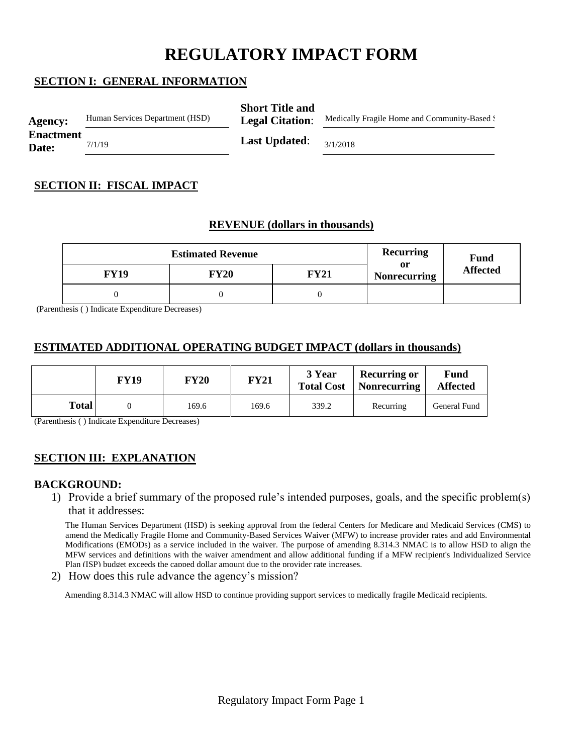# **REGULATORY IMPACT FORM**

# **SECTION I: GENERAL INFORMATION**

| <b>Agency:</b>            | Human Services Department (HSD) | <b>Short Title and</b><br><b>Legal Citation:</b> | Medically Fragile Home and Community-Based ! |  |
|---------------------------|---------------------------------|--------------------------------------------------|----------------------------------------------|--|
| <b>Enactment</b><br>Date: | 7/1/19                          | <b>Last Updated:</b>                             | 3/1/2018                                     |  |

## **SECTION II: FISCAL IMPACT**

## **REVENUE (dollars in thousands)**

|             | <b>Recurring</b> | Fund        |                           |                 |  |
|-------------|------------------|-------------|---------------------------|-----------------|--|
| <b>FY19</b> | FY20             | <b>FY21</b> | or<br><b>Nonrecurring</b> | <b>Affected</b> |  |
|             |                  |             |                           |                 |  |

(Parenthesis ( ) Indicate Expenditure Decreases)

## **ESTIMATED ADDITIONAL OPERATING BUDGET IMPACT (dollars in thousands)**

|       | <b>FY19</b> | <b>FY20</b> | <b>FY21</b> | 3 Year<br><b>Total Cost</b> | Recurring or<br><b>Nonrecurring</b> | Fund<br><b>Affected</b> |
|-------|-------------|-------------|-------------|-----------------------------|-------------------------------------|-------------------------|
| Total |             | 169.6       | 169.6       | 339.2                       | Recurring                           | General Fund            |

(Parenthesis ( ) Indicate Expenditure Decreases)

# **SECTION III: EXPLANATION**

#### **BACKGROUND:**

1) Provide a brief summary of the proposed rule's intended purposes, goals, and the specific problem(s) that it addresses:

The Human Services Department (HSD) is seeking approval from the federal Centers for Medicare and Medicaid Services (CMS) to amend the Medically Fragile Home and Community-Based Services Waiver (MFW) to increase provider rates and add Environmental Modifications (EMODs) as a service included in the waiver. The purpose of amending 8.314.3 NMAC is to allow HSD to align the MFW services and definitions with the waiver amendment and allow additional funding if a MFW recipient's Individualized Service Plan (ISP) budget exceeds the canned dollar amount due to the provider rate increases.

2) How does this rule advance the agency's mission?

Amending 8.314.3 NMAC will allow HSD to continue providing support services to medically fragile Medicaid recipients.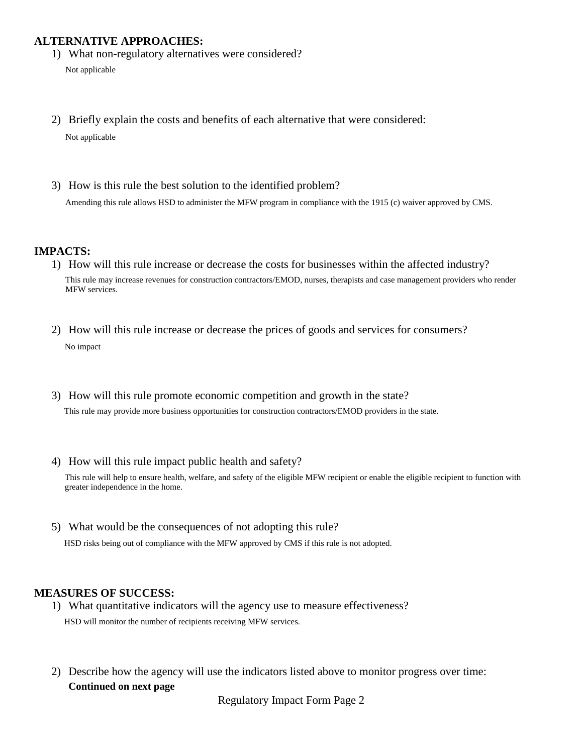## **ALTERNATIVE APPROACHES:**

1) What non-regulatory alternatives were considered?

Not applicable

- 2) Briefly explain the costs and benefits of each alternative that were considered: Not applicable
- 3) How is this rule the best solution to the identified problem? Amending this rule allows HSD to administer the MFW program in compliance with the 1915 (c) waiver approved by CMS.

#### **IMPACTS:**

- 1) How will this rule increase or decrease the costs for businesses within the affected industry? This rule may increase revenues for construction contractors/EMOD, nurses, therapists and case management providers who render MFW services.
- 2) How will this rule increase or decrease the prices of goods and services for consumers? No impact
- 3) How will this rule promote economic competition and growth in the state? This rule may provide more business opportunities for construction contractors/EMOD providers in the state.
- 4) How will this rule impact public health and safety?

This rule will help to ensure health, welfare, and safety of the eligible MFW recipient or enable the eligible recipient to function with greater independence in the home.

5) What would be the consequences of not adopting this rule?

HSD risks being out of compliance with the MFW approved by CMS if this rule is not adopted.

#### **MEASURES OF SUCCESS:**

- 1) What quantitative indicators will the agency use to measure effectiveness? HSD will monitor the number of recipients receiving MFW services.
- 2) Describe how the agency will use the indicators listed above to monitor progress over time: **Continued on next page**

Regulatory Impact Form Page 2